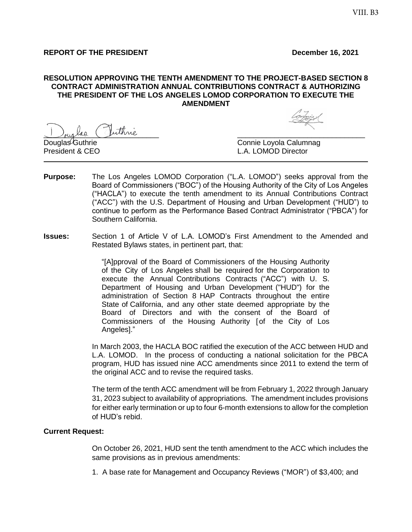#### **REPORT OF THE PRESIDENT December 16, 2021**

#### **RESOLUTION APPROVING THE TENTH AMENDMENT TO THE PROJECT-BASED SECTION 8 CONTRACT ADMINISTRATION ANNUAL CONTRIBUTIONS CONTRACT & AUTHORIZING THE PRESIDENT OF THE LOS ANGELES LOMOD CORPORATION TO EXECUTE THE AMENDMENT**

\_\_\_\_\_\_\_\_\_\_\_\_\_\_\_\_\_\_\_\_\_\_\_\_\_\_\_\_ \_\_\_\_\_\_\_\_\_\_\_\_\_\_\_\_\_\_\_\_\_\_\_\_\_\_\_\_\_\_\_

Douglas<sup>/</sup>Guthrie Connie Loyola Calumnag President & CEO L.A. LOMOD Director

- **Purpose:** The Los Angeles LOMOD Corporation ("L.A. LOMOD") seeks approval from the Board of Commissioners ("BOC") of the Housing Authority of the City of Los Angeles ("HACLA") to execute the tenth amendment to its Annual Contributions Contract ("ACC") with the U.S. Department of Housing and Urban Development ("HUD") to continue to perform as the Performance Based Contract Administrator ("PBCA") for Southern California.
- **Issues:** Section 1 of Article V of L.A. LOMOD's First Amendment to the Amended and Restated Bylaws states, in pertinent part, that:

"[A]pproval of the Board of Commissioners of the Housing Authority of the City of Los Angeles shall be required for the Corporation to execute the Annual Contributions Contracts ("ACC") with U. S. Department of Housing and Urban Development ("HUD") for the administration of Section 8 HAP Contracts throughout the entire State of California, and any other state deemed appropriate by the Board of Directors and with the consent of the Board of Commissioners of the Housing Authority [of the City of Los Angeles]."

In March 2003, the HACLA BOC ratified the execution of the ACC between HUD and L.A. LOMOD. In the process of conducting a national solicitation for the PBCA program, HUD has issued nine ACC amendments since 2011 to extend the term of the original ACC and to revise the required tasks.

The term of the tenth ACC amendment will be from February 1, 2022 through January 31, 2023 subject to availability of appropriations. The amendment includes provisions for either early termination or up to four 6-month extensions to allow for the completion of HUD's rebid.

#### **Current Request:**

On October 26, 2021, HUD sent the tenth amendment to the ACC which includes the same provisions as in previous amendments:

1. A base rate for Management and Occupancy Reviews ("MOR") of \$3,400; and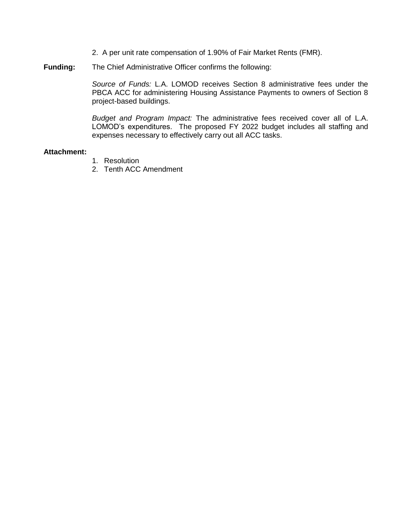- 2. A per unit rate compensation of 1.90% of Fair Market Rents (FMR).
- **Funding:** The Chief Administrative Officer confirms the following:

*Source of Funds:* L.A. LOMOD receives Section 8 administrative fees under the PBCA ACC for administering Housing Assistance Payments to owners of Section 8 project-based buildings.

*Budget and Program Impact:* The administrative fees received cover all of L.A. LOMOD's expenditures. The proposed FY 2022 budget includes all staffing and expenses necessary to effectively carry out all ACC tasks.

#### **Attachment:**

- 1. Resolution
- 2. Tenth ACC Amendment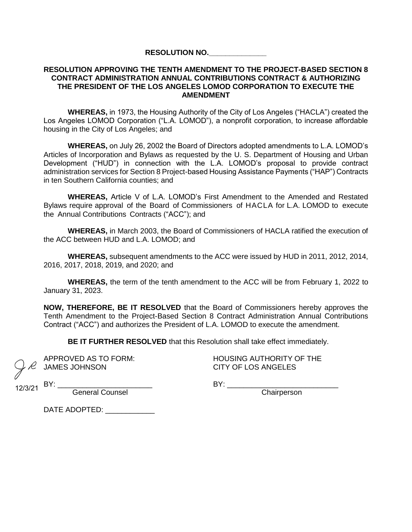#### **RESOLUTION NO.\_\_\_\_\_\_\_\_\_\_\_\_\_\_**

#### **RESOLUTION APPROVING THE TENTH AMENDMENT TO THE PROJECT-BASED SECTION 8 CONTRACT ADMINISTRATION ANNUAL CONTRIBUTIONS CONTRACT & AUTHORIZING THE PRESIDENT OF THE LOS ANGELES LOMOD CORPORATION TO EXECUTE THE AMENDMENT**

**WHEREAS,** in 1973, the Housing Authority of the City of Los Angeles ("HACLA") created the Los Angeles LOMOD Corporation ("L.A. LOMOD"), a nonprofit corporation, to increase affordable housing in the City of Los Angeles; and

**WHEREAS,** on July 26, 2002 the Board of Directors adopted amendments to L.A. LOMOD's Articles of Incorporation and Bylaws as requested by the U. S. Department of Housing and Urban Development ("HUD") in connection with the L.A. LOMOD's proposal to provide contract administration services for Section 8 Project-based Housing Assistance Payments ("HAP") Contracts in ten Southern California counties; and

**WHEREAS,** Article V of L.A. LOMOD's First Amendment to the Amended and Restated Bylaws require approval of the Board of Commissioners of HACLA for L.A. LOMOD to execute the Annual Contributions Contracts ("ACC"); and

**WHEREAS,** in March 2003, the Board of Commissioners of HACLA ratified the execution of the ACC between HUD and L.A. LOMOD; and

**WHEREAS,** subsequent amendments to the ACC were issued by HUD in 2011, 2012, 2014, 2016, 2017, 2018, 2019, and 2020; and

**WHEREAS,** the term of the tenth amendment to the ACC will be from February 1, 2022 to January 31, 2023.

**NOW, THEREFORE, BE IT RESOLVED** that the Board of Commissioners hereby approves the Tenth Amendment to the Project-Based Section 8 Contract Administration Annual Contributions Contract ("ACC") and authorizes the President of L.A. LOMOD to execute the amendment.

**BE IT FURTHER RESOLVED** that this Resolution shall take effect immediately.

JAMES JOHNSON CITY OF LOS ANGELES

APPROVED AS TO FORM: HOUSING AUTHORITY OF THE

12/3/21 BY: -

BY: \_\_\_\_\_\_\_\_\_\_\_\_\_\_\_\_\_\_\_\_\_\_\_ BY: \_\_\_\_\_\_\_\_\_\_\_\_\_\_\_\_\_\_\_\_\_\_\_\_\_\_\_

General Counsel

DATE ADOPTED: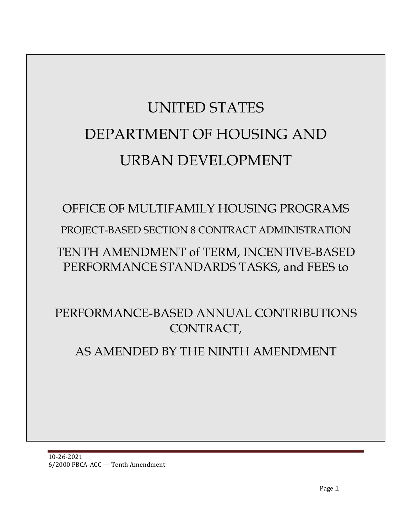# UNITED STATES DEPARTMENT OF HOUSING AND URBAN DEVELOPMENT

# OFFICE OF MULTIFAMILY HOUSING PROGRAMS

PROJECT-BASED SECTION 8 CONTRACT ADMINISTRATION

# TENTH AMENDMENT of TERM, INCENTIVE-BASED PERFORMANCE STANDARDS TASKS, and FEES to

PERFORMANCE-BASED ANNUAL CONTRIBUTIONS CONTRACT,

# AS AMENDED BY THE NINTH AMENDMENT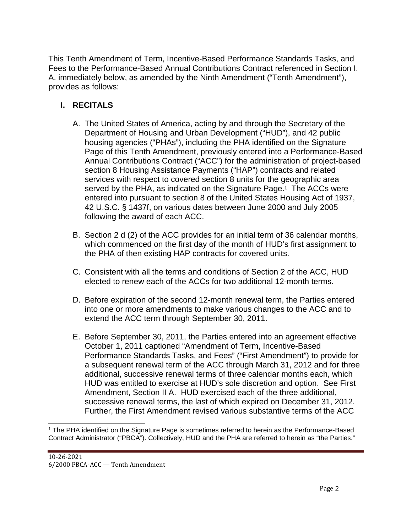This Tenth Amendment of Term, Incentive-Based Performance Standards Tasks, and Fees to the Performance-Based Annual Contributions Contract referenced in Section I. A. immediately below, as amended by the Ninth Amendment ("Tenth Amendment"), provides as follows:

## **I. RECITALS**

- A. The United States of America, acting by and through the Secretary of the Department of Housing and Urban Development ("HUD"), and 42 public housing agencies ("PHAs"), including the PHA identified on the Signature Page of this Tenth Amendment, previously entered into a Performance-Based Annual Contributions Contract ("ACC") for the administration of project-based section 8 Housing Assistance Payments ("HAP") contracts and related services with respect to covered section 8 units for the geographic area served by the PHA, as indicated on the Signature Page.<sup>1</sup> The ACCs were entered into pursuant to section 8 of the United States Housing Act of 1937, 42 U.S.C. § 1437f, on various dates between June 2000 and July 2005 following the award of each ACC.
- B. Section 2 d (2) of the ACC provides for an initial term of 36 calendar months, which commenced on the first day of the month of HUD's first assignment to the PHA of then existing HAP contracts for covered units.
- C. Consistent with all the terms and conditions of Section 2 of the ACC, HUD elected to renew each of the ACCs for two additional 12-month terms.
- D. Before expiration of the second 12-month renewal term, the Parties entered into one or more amendments to make various changes to the ACC and to extend the ACC term through September 30, 2011.
- E. Before September 30, 2011, the Parties entered into an agreement effective October 1, 2011 captioned "Amendment of Term, Incentive-Based Performance Standards Tasks, and Fees" ("First Amendment") to provide for a subsequent renewal term of the ACC through March 31, 2012 and for three additional, successive renewal terms of three calendar months each, which HUD was entitled to exercise at HUD's sole discretion and option. See First Amendment, Section II A. HUD exercised each of the three additional, successive renewal terms, the last of which expired on December 31, 2012. Further, the First Amendment revised various substantive terms of the ACC

<sup>1</sup> The PHA identified on the Signature Page is sometimes referred to herein as the Performance-Based Contract Administrator ("PBCA"). Collectively, HUD and the PHA are referred to herein as "the Parties."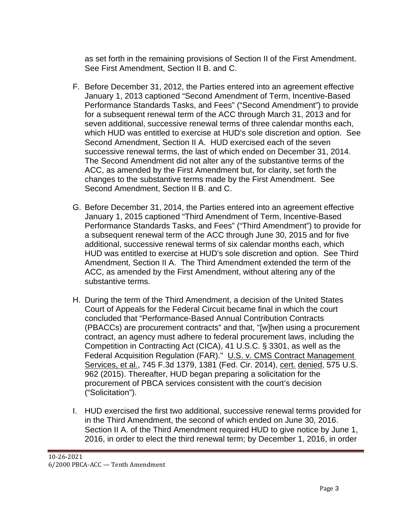as set forth in the remaining provisions of Section II of the First Amendment. See First Amendment, Section II B. and C.

- F. Before December 31, 2012, the Parties entered into an agreement effective January 1, 2013 captioned "Second Amendment of Term, Incentive-Based Performance Standards Tasks, and Fees" ("Second Amendment") to provide for a subsequent renewal term of the ACC through March 31, 2013 and for seven additional, successive renewal terms of three calendar months each, which HUD was entitled to exercise at HUD's sole discretion and option. See Second Amendment, Section II A. HUD exercised each of the seven successive renewal terms, the last of which ended on December 31, 2014. The Second Amendment did not alter any of the substantive terms of the ACC, as amended by the First Amendment but, for clarity, set forth the changes to the substantive terms made by the First Amendment. See Second Amendment, Section II B. and C.
- G. Before December 31, 2014, the Parties entered into an agreement effective January 1, 2015 captioned "Third Amendment of Term, Incentive-Based Performance Standards Tasks, and Fees" ("Third Amendment") to provide for a subsequent renewal term of the ACC through June 30, 2015 and for five additional, successive renewal terms of six calendar months each, which HUD was entitled to exercise at HUD's sole discretion and option. See Third Amendment, Section II A. The Third Amendment extended the term of the ACC, as amended by the First Amendment, without altering any of the substantive terms.
- H. During the term of the Third Amendment, a decision of the United States Court of Appeals for the Federal Circuit became final in which the court concluded that "Performance-Based Annual Contribution Contracts (PBACCs) are procurement contracts" and that, "[w]hen using a procurement contract, an agency must adhere to federal procurement laws, including the Competition in Contracting Act (CICA), 41 U.S.C. § 3301, as well as the Federal Acquisition Regulation (FAR)." U.S. v. CMS Contract Management Services, et al., 745 F.3d 1379, 1381 (Fed. Cir. 2014), cert. denied, 575 U.S. 962 (2015). Thereafter, HUD began preparing a solicitation for the procurement of PBCA services consistent with the court's decision ("Solicitation").
- I. HUD exercised the first two additional, successive renewal terms provided for in the Third Amendment, the second of which ended on June 30, 2016. Section II A. of the Third Amendment required HUD to give notice by June 1, 2016, in order to elect the third renewal term; by December 1, 2016, in order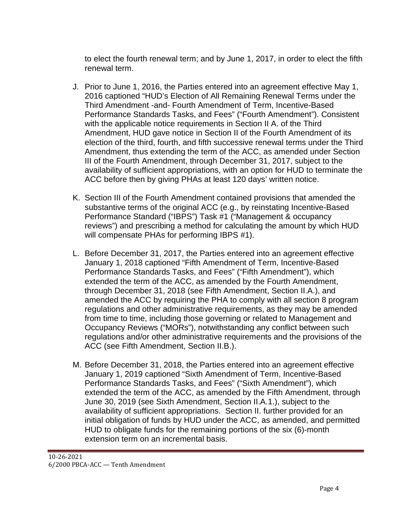to elect the fourth renewal term; and by June 1, 2017, in order to elect the fifth renewal term.

- J. Prior to June 1, 2016, the Parties entered into an agreement effective May 1, 2016 captioned "HUD's Election of All Remaining Renewal Terms under the Third Amendment -and- Fourth Amendment of Term, Incentive-Based Performance Standards Tasks, and Fees" ("Fourth Amendment"). Consistent with the applicable notice requirements in Section II A. of the Third Amendment, HUD gave notice in Section II of the Fourth Amendment of its election of the third, fourth, and fifth successive renewal terms under the Third Amendment, thus extending the term of the ACC, as amended under Section III of the Fourth Amendment, through December 31, 2017, subject to the availability of sufficient appropriations, with an option for HUD to terminate the ACC before then by giving PHAs at least 120 days' written notice.
- K. Section III of the Fourth Amendment contained provisions that amended the substantive terms of the original ACC (e.g., by reinstating Incentive-Based Performance Standard ("IBPS") Task #1 ("Management & occupancy reviews") and prescribing a method for calculating the amount by which HUD will compensate PHAs for performing IBPS #1).
- L. Before December 31, 2017, the Parties entered into an agreement effective January 1, 2018 captioned "Fifth Amendment of Term, Incentive-Based Performance Standards Tasks, and Fees" ("Fifth Amendment"), which extended the term of the ACC, as amended by the Fourth Amendment, through December 31, 2018 (see Fifth Amendment, Section II.A.), and amended the ACC by requiring the PHA to comply with all section 8 program regulations and other administrative requirements, as they may be amended from time to time, including those governing or related to Management and Occupancy Reviews ("MORs"), notwithstanding any conflict between such regulations and/or other administrative requirements and the provisions of the ACC (see Fifth Amendment, Section II.B.).
- M. Before December 31, 2018, the Parties entered into an agreement effective January 1, 2019 captioned "Sixth Amendment of Term, Incentive-Based Performance Standards Tasks, and Fees" ("Sixth Amendment"), which extended the term of the ACC, as amended by the Fifth Amendment, through June 30, 2019 (see Sixth Amendment, Section II.A.1.), subject to the availability of sufficient appropriations. Section II. further provided for an initial obligation of funds by HUD under the ACC, as amended, and permitted HUD to obligate funds for the remaining portions of the six (6)-month extension term on an incremental basis.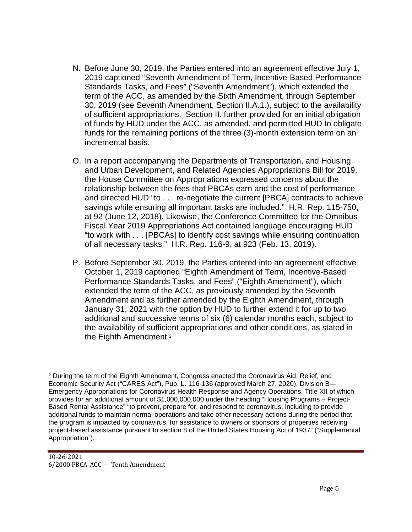- N. Before June 30, 2019, the Parties entered into an agreement effective July 1, 2019 captioned "Seventh Amendment of Term, Incentive-Based Performance Standards Tasks, and Fees" ("Seventh Amendment"), which extended the term of the ACC, as amended by the Sixth Amendment, through September 30, 2019 (see Seventh Amendment, Section II.A.1.), subject to the availability of sufficient appropriations. Section II. further provided for an initial obligation of funds by HUD under the ACC, as amended, and permitted HUD to obligate funds for the remaining portions of the three (3)-month extension term on an incremental basis.
- O. In a report accompanying the Departments of Transportation, and Housing and Urban Development, and Related Agencies Appropriations Bill for 2019, the House Committee on Appropriations expressed concerns about the relationship between the fees that PBCAs earn and the cost of performance and directed HUD "to . . . re-negotiate the current [PBCA] contracts to achieve savings while ensuring all important tasks are included." H.R. Rep. 115-750, at 92 (June 12, 2018). Likewise, the Conference Committee for the Omnibus Fiscal Year 2019 Appropriations Act contained language encouraging HUD "to work with . . . [PBCAs] to identify cost savings while ensuring continuation of all necessary tasks." H.R. Rep. 116-9, at 923 (Feb. 13, 2019).
- P. Before September 30, 2019, the Parties entered into an agreement effective October 1, 2019 captioned "Eighth Amendment of Term, Incentive-Based Performance Standards Tasks, and Fees" ("Eighth Amendment"), which extended the term of the ACC, as previously amended by the Seventh Amendment and as further amended by the Eighth Amendment, through January 31, 2021 with the option by HUD to further extend it for up to two additional and successive terms of six (6) calendar months each, subject to the availability of sufficient appropriations and other conditions, as stated in the Eighth Amendment.<sup>2</sup>

<sup>&</sup>lt;sup>2</sup> During the term of the Eighth Amendment, Congress enacted the Coronavirus Aid, Relief, and Economic Security Act ("CARES Act"), Pub. L. 116-136 (approved March 27, 2020), Division B— Emergency Appropriations for Coronavirus Health Response and Agency Operations, Title XII of which provides for an additional amount of \$1,000,000,000 under the heading "Housing Programs – Project-Based Rental Assistance" "to prevent, prepare for, and respond to coronavirus, including to provide additional funds to maintain normal operations and take other necessary actions during the period that the program is impacted by coronavirus, for assistance to owners or sponsors of properties receiving project-based assistance pursuant to section 8 of the United States Housing Act of 1937" ("Supplemental Appropriation").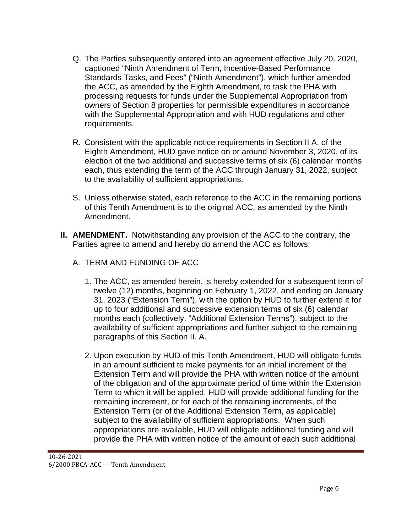- Q. The Parties subsequently entered into an agreement effective July 20, 2020, captioned "Ninth Amendment of Term, Incentive-Based Performance Standards Tasks, and Fees" ("Ninth Amendment"), which further amended the ACC, as amended by the Eighth Amendment, to task the PHA with processing requests for funds under the Supplemental Appropriation from owners of Section 8 properties for permissible expenditures in accordance with the Supplemental Appropriation and with HUD regulations and other requirements.
- R. Consistent with the applicable notice requirements in Section II A. of the Eighth Amendment, HUD gave notice on or around November 3, 2020, of its election of the two additional and successive terms of six (6) calendar months each, thus extending the term of the ACC through January 31, 2022, subject to the availability of sufficient appropriations.
- S. Unless otherwise stated, each reference to the ACC in the remaining portions of this Tenth Amendment is to the original ACC, as amended by the Ninth Amendment.
- **II. AMENDMENT.** Notwithstanding any provision of the ACC to the contrary, the Parties agree to amend and hereby do amend the ACC as follows:
	- A. TERM AND FUNDING OF ACC
		- 1. The ACC, as amended herein, is hereby extended for a subsequent term of twelve (12) months, beginning on February 1, 2022, and ending on January 31, 2023 ("Extension Term"), with the option by HUD to further extend it for up to four additional and successive extension terms of six (6) calendar months each (collectively, "Additional Extension Terms"), subject to the availability of sufficient appropriations and further subject to the remaining paragraphs of this Section II. A.
		- 2. Upon execution by HUD of this Tenth Amendment, HUD will obligate funds in an amount sufficient to make payments for an initial increment of the Extension Term and will provide the PHA with written notice of the amount of the obligation and of the approximate period of time within the Extension Term to which it will be applied. HUD will provide additional funding for the remaining increment, or for each of the remaining increments, of the Extension Term (or of the Additional Extension Term, as applicable) subject to the availability of sufficient appropriations. When such appropriations are available, HUD will obligate additional funding and will provide the PHA with written notice of the amount of each such additional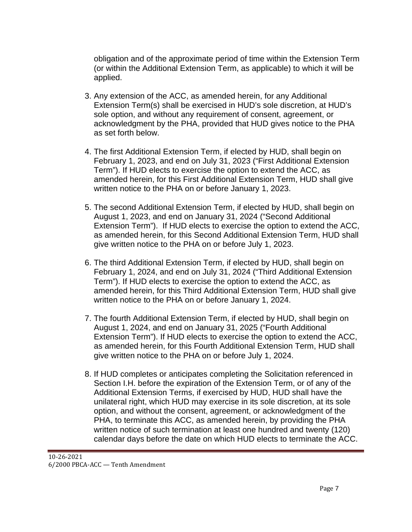obligation and of the approximate period of time within the Extension Term (or within the Additional Extension Term, as applicable) to which it will be applied.

- 3. Any extension of the ACC, as amended herein, for any Additional Extension Term(s) shall be exercised in HUD's sole discretion, at HUD's sole option, and without any requirement of consent, agreement, or acknowledgment by the PHA, provided that HUD gives notice to the PHA as set forth below.
- 4. The first Additional Extension Term, if elected by HUD, shall begin on February 1, 2023, and end on July 31, 2023 ("First Additional Extension Term"). If HUD elects to exercise the option to extend the ACC, as amended herein, for this First Additional Extension Term, HUD shall give written notice to the PHA on or before January 1, 2023.
- 5. The second Additional Extension Term, if elected by HUD, shall begin on August 1, 2023, and end on January 31, 2024 ("Second Additional Extension Term"). If HUD elects to exercise the option to extend the ACC, as amended herein, for this Second Additional Extension Term, HUD shall give written notice to the PHA on or before July 1, 2023.
- 6. The third Additional Extension Term, if elected by HUD, shall begin on February 1, 2024, and end on July 31, 2024 ("Third Additional Extension Term"). If HUD elects to exercise the option to extend the ACC, as amended herein, for this Third Additional Extension Term, HUD shall give written notice to the PHA on or before January 1, 2024.
- 7. The fourth Additional Extension Term, if elected by HUD, shall begin on August 1, 2024, and end on January 31, 2025 ("Fourth Additional Extension Term"). If HUD elects to exercise the option to extend the ACC, as amended herein, for this Fourth Additional Extension Term, HUD shall give written notice to the PHA on or before July 1, 2024.
- 8. If HUD completes or anticipates completing the Solicitation referenced in Section I.H. before the expiration of the Extension Term, or of any of the Additional Extension Terms, if exercised by HUD, HUD shall have the unilateral right, which HUD may exercise in its sole discretion, at its sole option, and without the consent, agreement, or acknowledgment of the PHA, to terminate this ACC, as amended herein, by providing the PHA written notice of such termination at least one hundred and twenty (120) calendar days before the date on which HUD elects to terminate the ACC.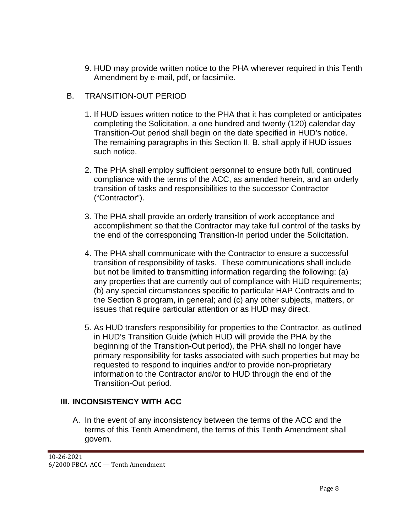9. HUD may provide written notice to the PHA wherever required in this Tenth Amendment by e-mail, pdf, or facsimile.

## B. TRANSITION-OUT PERIOD

- 1. If HUD issues written notice to the PHA that it has completed or anticipates completing the Solicitation, a one hundred and twenty (120) calendar day Transition-Out period shall begin on the date specified in HUD's notice. The remaining paragraphs in this Section II. B. shall apply if HUD issues such notice.
- 2. The PHA shall employ sufficient personnel to ensure both full, continued compliance with the terms of the ACC, as amended herein, and an orderly transition of tasks and responsibilities to the successor Contractor ("Contractor").
- 3. The PHA shall provide an orderly transition of work acceptance and accomplishment so that the Contractor may take full control of the tasks by the end of the corresponding Transition-In period under the Solicitation.
- 4. The PHA shall communicate with the Contractor to ensure a successful transition of responsibility of tasks. These communications shall include but not be limited to transmitting information regarding the following: (a) any properties that are currently out of compliance with HUD requirements; (b) any special circumstances specific to particular HAP Contracts and to the Section 8 program, in general; and (c) any other subjects, matters, or issues that require particular attention or as HUD may direct.
- 5. As HUD transfers responsibility for properties to the Contractor, as outlined in HUD's Transition Guide (which HUD will provide the PHA by the beginning of the Transition-Out period), the PHA shall no longer have primary responsibility for tasks associated with such properties but may be requested to respond to inquiries and/or to provide non-proprietary information to the Contractor and/or to HUD through the end of the Transition-Out period.

## **III. INCONSISTENCY WITH ACC**

A. In the event of any inconsistency between the terms of the ACC and the terms of this Tenth Amendment, the terms of this Tenth Amendment shall govern.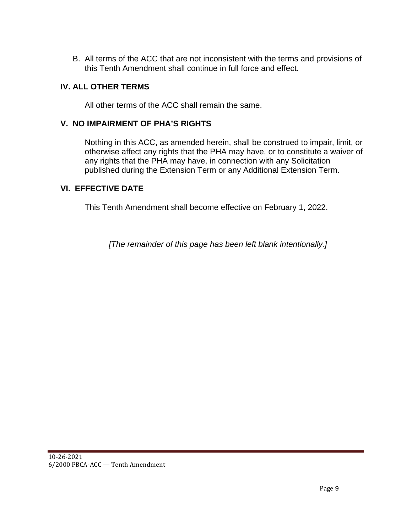B. All terms of the ACC that are not inconsistent with the terms and provisions of this Tenth Amendment shall continue in full force and effect.

#### **IV. ALL OTHER TERMS**

All other terms of the ACC shall remain the same.

#### **V. NO IMPAIRMENT OF PHA'S RIGHTS**

Nothing in this ACC, as amended herein, shall be construed to impair, limit, or otherwise affect any rights that the PHA may have, or to constitute a waiver of any rights that the PHA may have, in connection with any Solicitation published during the Extension Term or any Additional Extension Term.

#### **VI. EFFECTIVE DATE**

This Tenth Amendment shall become effective on February 1, 2022.

*[The remainder of this page has been left blank intentionally.]*